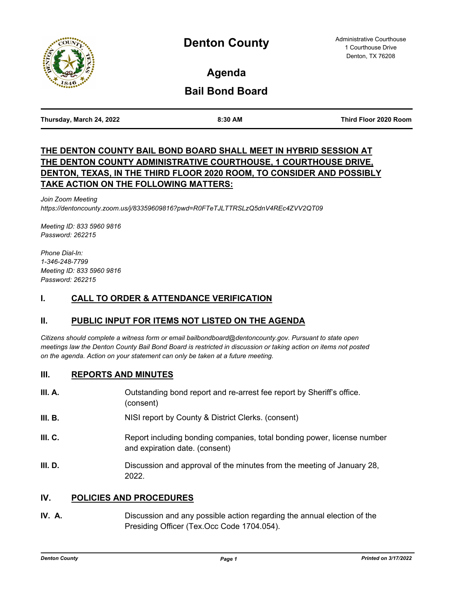

**Agenda**

# **Bail Bond Board**

**Thursday, March 24, 2022 8:30 AM Third Floor 2020 Room**

## **THE DENTON COUNTY BAIL BOND BOARD SHALL MEET IN HYBRID SESSION AT THE DENTON COUNTY ADMINISTRATIVE COURTHOUSE, 1 COURTHOUSE DRIVE, DENTON, TEXAS, IN THE THIRD FLOOR 2020 ROOM, TO CONSIDER AND POSSIBLY TAKE ACTION ON THE FOLLOWING MATTERS:**

*Join Zoom Meeting https://dentoncounty.zoom.us/j/83359609816?pwd=R0FTeTJLTTRSLzQ5dnV4REc4ZVV2QT09* 

*Meeting ID: 833 5960 9816 Password: 262215* 

*Phone Dial-In: 1-346-248-7799 Meeting ID: 833 5960 9816 Password: 262215*

### **I. CALL TO ORDER & ATTENDANCE VERIFICATION**

## **II. PUBLIC INPUT FOR ITEMS NOT LISTED ON THE AGENDA**

*Citizens should complete a witness form or email bailbondboard@dentoncounty.gov. Pursuant to state open meetings law the Denton County Bail Bond Board is restricted in discussion or taking action on items not posted on the agenda. Action on your statement can only be taken at a future meeting.*

#### **III. REPORTS AND MINUTES**

| III. A. | Outstanding bond report and re-arrest fee report by Sheriff's office.<br>(consent)                        |
|---------|-----------------------------------------------------------------------------------------------------------|
| III. B. | NISI report by County & District Clerks. (consent)                                                        |
| III. C. | Report including bonding companies, total bonding power, license number<br>and expiration date. (consent) |
| III. D. | Discussion and approval of the minutes from the meeting of January 28,<br>2022.                           |

#### **IV. POLICIES AND PROCEDURES**

**IV. A.** Discussion and any possible action regarding the annual election of the Presiding Officer (Tex.Occ Code 1704.054).